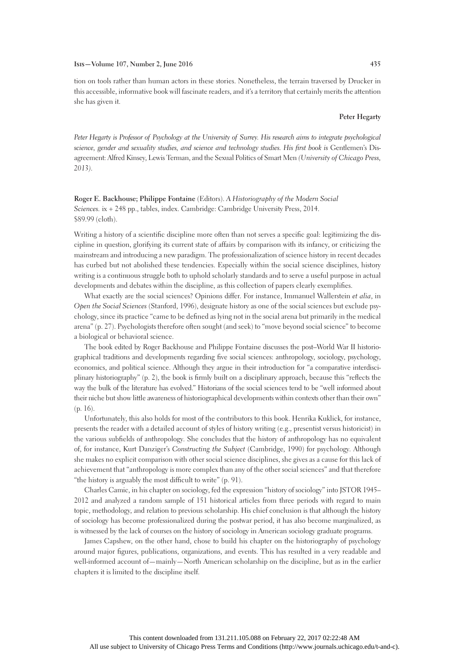**Isis—Volume 107, Number 2, June 2016 435**

tion on tools rather than human actors in these stories. Nonetheless, the terrain traversed by Drucker in this accessible, informative book will fascinate readers, and it's a territory that certainly merits the attention she has given it.

## **Peter Hegarty**

Peter Hegarty is Professor of Psychology at the University of Surrey. His research aims to integrate psychological *science, gender and sexuality studies, and science and technology studies. His first book is* Gentlemen's Disagreement: Alfred Kinsey, Lewis Terman, and the Sexual Politics of Smart Men *(University of Chicago Press, 2013).* 

**Roger E. Backhouse; Philippe Fontaine** (Editors). *A Historiography of the Modern Social Sciences.* ix + 248 pp., tables, index. Cambridge: Cambridge University Press, 2014. \$89.99 (cloth).

Writing a history of a scientific discipline more often than not serves a specific goal: legitimizing the discipline in question, glorifying its current state of affairs by comparison with its infancy, or criticizing the mainstream and introducing a new paradigm. The professionalization of science history in recent decades has curbed but not abolished these tendencies. Especially within the social science disciplines, history writing is a continuous struggle both to uphold scholarly standards and to serve a useful purpose in actual developments and debates within the discipline, as this collection of papers clearly exemplifies.

What exactly are the social sciences? Opinions differ. For instance, Immanuel Wallerstein *et alia*, in *Open the Social Sciences* (Stanford, 1996), designate history as one of the social sciences but exclude psychology, since its practice "came to be defined as lying not in the social arena but primarily in the medical arena" (p. 27). Psychologists therefore often sought (and seek) to "move beyond social science" to become a biological or behavioral science.

The book edited by Roger Backhouse and Philippe Fontaine discusses the post–World War II historiographical traditions and developments regarding five social sciences: anthropology, sociology, psychology, economics, and political science. Although they argue in their introduction for "a comparative interdisciplinary historiography" (p. 2), the book is firmly built on a disciplinary approach, because this "reflects the way the bulk of the literature has evolved." Historians of the social sciences tend to be "well informed about their niche but show little awareness of historiographical developments within contexts other than their own" (p. 16).

Unfortunately, this also holds for most of the contributors to this book. Henrika Kuklick, for instance, presents the reader with a detailed account of styles of history writing (e.g., presentist versus historicist) in the various subfields of anthropology. She concludes that the history of anthropology has no equivalent of, for instance, Kurt Danziger's *Constructing the Subject* (Cambridge, 1990) for psychology. Although she makes no explicit comparison with other social science disciplines, she gives as a cause for this lack of achievement that "anthropology is more complex than any of the other social sciences" and that therefore "the history is arguably the most difficult to write" (p. 91).

Charles Camic, in his chapter on sociology, fed the expression "history of sociology" into JSTOR 1945– 2012 and analyzed a random sample of 151 historical articles from three periods with regard to main topic, methodology, and relation to previous scholarship. His chief conclusion is that although the history of sociology has become professionalized during the postwar period, it has also become marginalized, as is witnessed by the lack of courses on the history of sociology in American sociology graduate programs.

James Capshew, on the other hand, chose to build his chapter on the historiography of psychology around major figures, publications, organizations, and events. This has resulted in a very readable and well-informed account of—mainly—North American scholarship on the discipline, but as in the earlier chapters it is limited to the discipline itself.